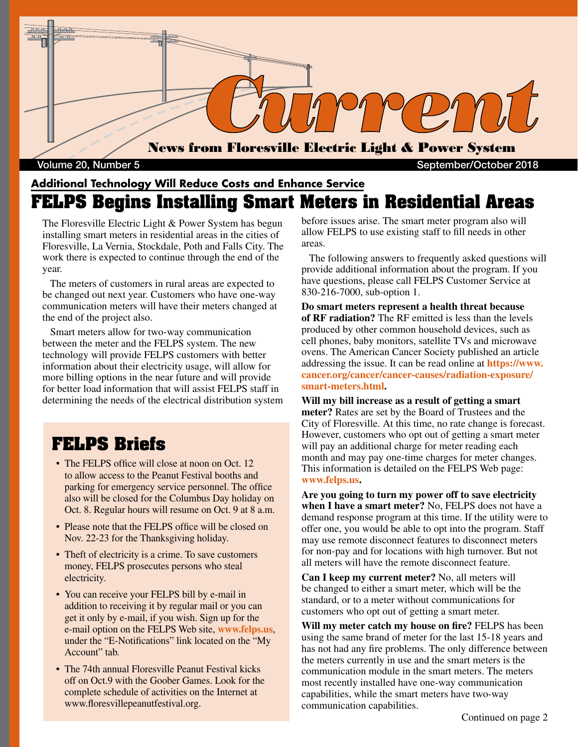

Volume 20, Number 5 September/October 2018

#### **Additional Technology Will Reduce Costs and Enhance Service FELPS Begins Installing Smart Meters in Residential Areas**

The Floresville Electric Light & Power System has begun installing smart meters in residential areas in the cities of Floresville, La Vernia, Stockdale, Poth and Falls City. The work there is expected to continue through the end of the year.

 The meters of customers in rural areas are expected to be changed out next year. Customers who have one-way communication meters will have their meters changed at the end of the project also.

 Smart meters allow for two-way communication between the meter and the FELPS system. The new technology will provide FELPS customers with better information about their electricity usage, will allow for more billing options in the near future and will provide for better load information that will assist FELPS staff in determining the needs of the electrical distribution system

## **FELPS Briefs**

- The FELPS office will close at noon on Oct. 12 to allow access to the Peanut Festival booths and parking for emergency service personnel. The office also will be closed for the Columbus Day holiday on Oct. 8. Regular hours will resume on Oct. 9 at 8 a.m.
- Please note that the FELPS office will be closed on Nov. 22-23 for the Thanksgiving holiday.
- Theft of electricity is a crime. To save customers money, FELPS prosecutes persons who steal electricity.
- You can receive your FELPS bill by e-mail in addition to receiving it by regular mail or you can get it only by e-mail, if you wish. Sign up for the e-mail option on the FELPS Web site, **www.felps.us**, under the "E-Notifications" link located on the "My Account" tab.
- The 74th annual Floresville Peanut Festival kicks off on Oct.9 with the Goober Games. Look for the complete schedule of activities on the Internet at www.floresvillepeanutfestival.org.

before issues arise. The smart meter program also will allow FELPS to use existing staff to fill needs in other areas.

 The following answers to frequently asked questions will provide additional information about the program. If you have questions, please call FELPS Customer Service at 830-216-7000, sub-option 1.

**Do smart meters represent a health threat because of RF radiation?** The RF emitted is less than the levels produced by other common household devices, such as cell phones, baby monitors, satellite TVs and microwave ovens. The American Cancer Society published an article addressing the issue. It can be read online at **https://www. cancer.org/cancer/cancer-causes/radiation-exposure/ smart-meters.html.**

**Will my bill increase as a result of getting a smart meter?** Rates are set by the Board of Trustees and the City of Floresville. At this time, no rate change is forecast. However, customers who opt out of getting a smart meter will pay an additional charge for meter reading each month and may pay one-time charges for meter changes. This information is detailed on the FELPS Web page: **www.felps.us.**

**Are you going to turn my power off to save electricity when I have a smart meter?** No, FELPS does not have a demand response program at this time. If the utility were to offer one, you would be able to opt into the program. Staff may use remote disconnect features to disconnect meters for non-pay and for locations with high turnover. But not all meters will have the remote disconnect feature.

**Can I keep my current meter?** No, all meters will be changed to either a smart meter, which will be the standard, or to a meter without communications for customers who opt out of getting a smart meter.

**Will my meter catch my house on fire?** FELPS has been using the same brand of meter for the last 15-18 years and has not had any fire problems. The only difference between the meters currently in use and the smart meters is the communication module in the smart meters. The meters most recently installed have one-way communication capabilities, while the smart meters have two-way communication capabilities.